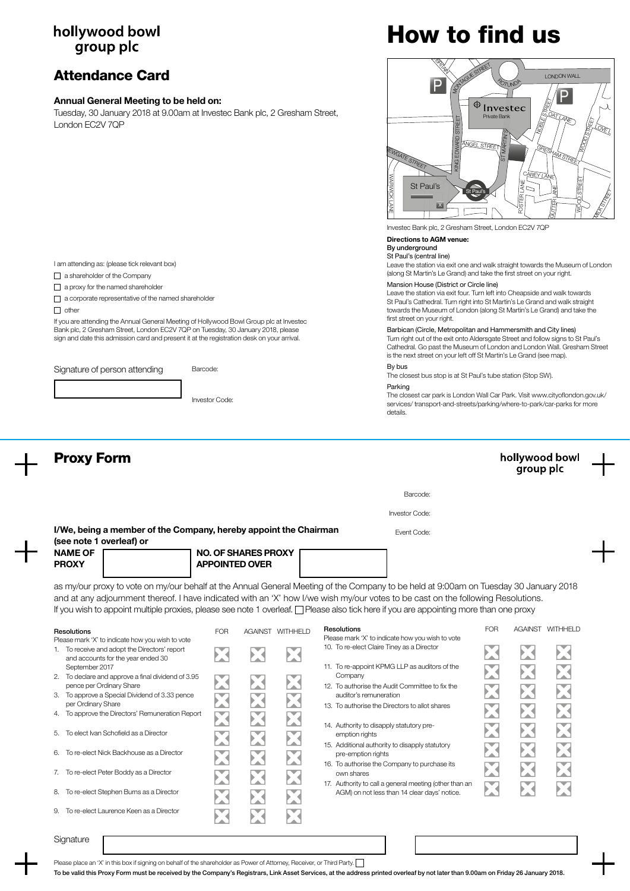# hollywood bowl group plc

# Attendance Card

### Annual General Meeting to be held on:

Tuesday, 30 January 2018 at 9.00am at Investec Bank plc, 2 Gresham Street, London EC2V 7QP

# How to find us



Investec Bank plc, 2 Gresham Street, London EC2V 7QP

### Directions to AGM venue:

### By underground

St Paul's (central line) Leave the station via exit one and walk straight towards the Museum of London (along St Martin's Le Grand) and take the first street on your right.

Mansion House (District or Circle line)

Leave the station via exit four. Turn left into Cheapside and walk towards St Paul's Cathedral. Turn right into St Martin's Le Grand and walk straight towards the Museum of London (along St Martin's Le Grand) and take the first street on your right.

Barbican (Circle, Metropolitan and Hammersmith and City lines) Turn right out of the exit onto Aldersgate Street and follow signs to St Paul's Cathedral. Go past the Museum of London and London Wall. Gresham Street is the next street on your left off St Martin's Le Grand (see map).

### By bus

The closest bus stop is at St Paul's tube station (Stop SW).

### Parking

The closest car park is London Wall Car Park. Visit www.cityoflondon.gov.uk/ services/ transport-and-streets/parking/where-to-park/car-parks for more details



Please place an 'X' in this box if signing on behalf of the shareholder as Power of Attorney, Receiver, or Third Party.

To be valid this Proxy Form must be received by the Company's Registrars, Link Asset Services, at the address printed overleaf by not later than 9.00am on Friday 26 January 2018.

I am attending as: (please tick relevant box)

- $\Box$  a shareholder of the Company
- a proxy for the named shareholder

a corporate representative of the named shareholder

 $\Box$  other

If you are attending the Annual General Meeting of Hollywood Bowl Group plc at Investec Bank plc, 2 Gresham Street, London EC2V 7QP on Tuesday, 30 January 2018, please sign and date this admission card and present it at the registration desk on your arrival.

Signature of person attending Barcode:

Investor Code: